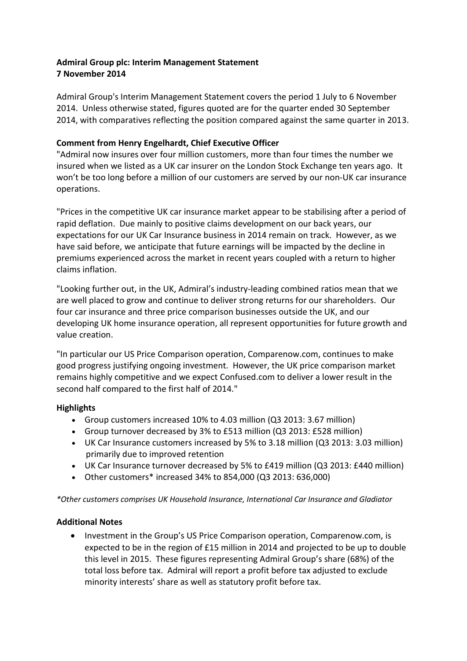# **Admiral Group plc: Interim Management Statement 7 November 2014**

Admiral Group's Interim Management Statement covers the period 1 July to 6 November 2014. Unless otherwise stated, figures quoted are for the quarter ended 30 September 2014, with comparatives reflecting the position compared against the same quarter in 2013.

## **Comment from Henry Engelhardt, Chief Executive Officer**

"Admiral now insures over four million customers, more than four times the number we insured when we listed as a UK car insurer on the London Stock Exchange ten years ago. It won't be too long before a million of our customers are served by our non-UK car insurance operations.

"Prices in the competitive UK car insurance market appear to be stabilising after a period of rapid deflation. Due mainly to positive claims development on our back years, our expectations for our UK Car Insurance business in 2014 remain on track. However, as we have said before, we anticipate that future earnings will be impacted by the decline in premiums experienced across the market in recent years coupled with a return to higher claims inflation.

"Looking further out, in the UK, Admiral's industry-leading combined ratios mean that we are well placed to grow and continue to deliver strong returns for our shareholders. Our four car insurance and three price comparison businesses outside the UK, and our developing UK home insurance operation, all represent opportunities for future growth and value creation.

"In particular our US Price Comparison operation, Comparenow.com, continues to make good progress justifying ongoing investment. However, the UK price comparison market remains highly competitive and we expect Confused.com to deliver a lower result in the second half compared to the first half of 2014."

## **Highlights**

- Group customers increased 10% to 4.03 million (Q3 2013: 3.67 million)
- Group turnover decreased by 3% to £513 million (Q3 2013: £528 million)
- UK Car Insurance customers increased by 5% to 3.18 million (Q3 2013: 3.03 million) primarily due to improved retention
- UK Car Insurance turnover decreased by 5% to £419 million (Q3 2013: £440 million)
- Other customers\* increased 34% to 854,000 (Q3 2013: 636,000)

*\*Other customers comprises UK Household Insurance, International Car Insurance and Gladiator*

## **Additional Notes**

• Investment in the Group's US Price Comparison operation, Comparenow.com, is expected to be in the region of £15 million in 2014 and projected to be up to double this level in 2015. These figures representing Admiral Group's share (68%) of the total loss before tax. Admiral will report a profit before tax adjusted to exclude minority interests' share as well as statutory profit before tax.